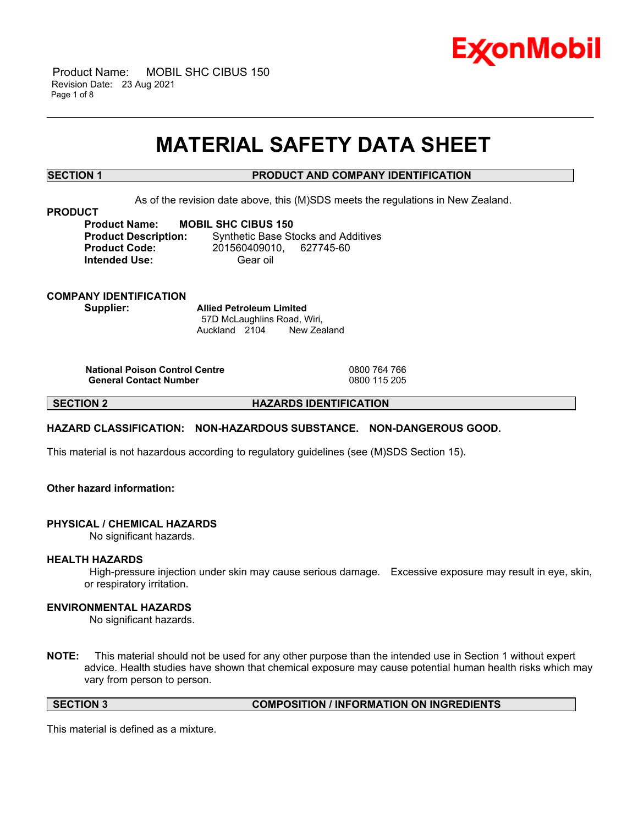

 Product Name: MOBIL SHC CIBUS 150 Revision Date: 23 Aug 2021 Page 1 of 8

# **MATERIAL SAFETY DATA SHEET**

\_\_\_\_\_\_\_\_\_\_\_\_\_\_\_\_\_\_\_\_\_\_\_\_\_\_\_\_\_\_\_\_\_\_\_\_\_\_\_\_\_\_\_\_\_\_\_\_\_\_\_\_\_\_\_\_\_\_\_\_\_\_\_\_\_\_\_\_\_\_\_\_\_\_\_\_\_\_\_\_\_\_\_\_\_\_\_\_\_\_\_\_\_\_\_\_\_\_\_\_\_\_\_\_\_\_\_\_\_\_\_\_\_\_\_\_\_\_

# **SECTION 1 PRODUCT AND COMPANY IDENTIFICATION**

As of the revision date above, this (M)SDS meets the regulations in New Zealand.

**PRODUCT**

**Product Name: MOBIL SHC CIBUS 150 Product Description:** Synthetic Base Stocks and Additives **Product Code:** 201560409010, 627745-60 **Intended Use:** Gear oil

**COMPANY IDENTIFICATION Supplier: Allied Petroleum Limited**

57D McLaughlins Road, Wiri, Auckland 2104 New Zealand

**National Poison Control Centre** 0800 764 766 **General Contact Number** 

**SECTION 2 HAZARDS IDENTIFICATION**

# **HAZARD CLASSIFICATION: NON-HAZARDOUS SUBSTANCE. NON-DANGEROUS GOOD.**

This material is not hazardous according to regulatory guidelines (see (M)SDS Section 15).

# **Other hazard information:**

# **PHYSICAL / CHEMICAL HAZARDS**

No significant hazards.

# **HEALTH HAZARDS**

High-pressure injection under skin may cause serious damage. Excessive exposure may result in eye, skin, or respiratory irritation.

# **ENVIRONMENTAL HAZARDS**

No significant hazards.

**NOTE:** This material should not be used for any other purpose than the intended use in Section 1 without expert advice. Health studies have shown that chemical exposure may cause potential human health risks which may vary from person to person.

**SECTION 3 COMPOSITION / INFORMATION ON INGREDIENTS**

This material is defined as a mixture.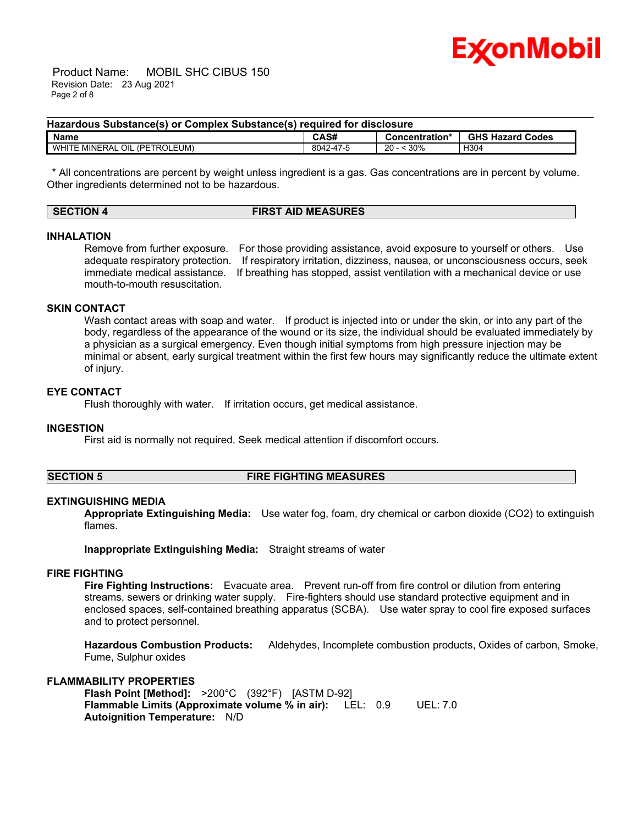

 Product Name: MOBIL SHC CIBUS 150 Revision Date: 23 Aug 2021 Page 2 of 8

### **Hazardous Substance(s) or Complex Substance(s) required for disclosure**

| <b>Name</b>                                | CAS#                | .<br>Concentration* | <b>GHS Hazard</b><br>Codes |
|--------------------------------------------|---------------------|---------------------|----------------------------|
| (PETROLEUM)<br>OIL<br><b>WHITE MINERAL</b> | $\sim$<br>8042-47-5 | 30%<br>20<br>∼      | H304<br>. .<br>-           |

\_\_\_\_\_\_\_\_\_\_\_\_\_\_\_\_\_\_\_\_\_\_\_\_\_\_\_\_\_\_\_\_\_\_\_\_\_\_\_\_\_\_\_\_\_\_\_\_\_\_\_\_\_\_\_\_\_\_\_\_\_\_\_\_\_\_\_\_\_\_\_\_\_\_\_\_\_\_\_\_\_\_\_\_\_\_\_\_\_\_\_\_\_\_\_\_\_\_\_\_\_\_\_\_\_\_\_\_\_\_\_\_\_\_\_\_\_\_

\* All concentrations are percent by weight unless ingredient is a gas. Gas concentrations are in percent by volume. Other ingredients determined not to be hazardous.

| SECTION 4 | <b>FIRST AID MEASURES</b> |
|-----------|---------------------------|
|           |                           |

# **INHALATION**

Remove from further exposure. For those providing assistance, avoid exposure to yourself or others. Use adequate respiratory protection. If respiratory irritation, dizziness, nausea, or unconsciousness occurs, seek immediate medical assistance. If breathing has stopped, assist ventilation with a mechanical device or use mouth-to-mouth resuscitation.

#### **SKIN CONTACT**

Wash contact areas with soap and water. If product is injected into or under the skin, or into any part of the body, regardless of the appearance of the wound or its size, the individual should be evaluated immediately by a physician as a surgical emergency. Even though initial symptoms from high pressure injection may be minimal or absent, early surgical treatment within the first few hours may significantly reduce the ultimate extent of injury.

# **EYE CONTACT**

Flush thoroughly with water. If irritation occurs, get medical assistance.

#### **INGESTION**

First aid is normally not required. Seek medical attention if discomfort occurs.

**SECTION 5 FIRE FIGHTING MEASURES**

# **EXTINGUISHING MEDIA**

**Appropriate Extinguishing Media:** Use water fog, foam, dry chemical or carbon dioxide (CO2) to extinguish flames.

**Inappropriate Extinguishing Media:** Straight streams of water

# **FIRE FIGHTING**

**Fire Fighting Instructions:** Evacuate area. Prevent run-off from fire control or dilution from entering streams, sewers or drinking water supply. Fire-fighters should use standard protective equipment and in enclosed spaces, self-contained breathing apparatus (SCBA). Use water spray to cool fire exposed surfaces and to protect personnel.

**Hazardous Combustion Products:** Aldehydes, Incomplete combustion products, Oxides of carbon, Smoke, Fume, Sulphur oxides

# **FLAMMABILITY PROPERTIES**

**Flash Point [Method]:** >200°C (392°F) [ASTM D-92] **Flammable Limits (Approximate volume % in air):** LEL: 0.9 UEL: 7.0 **Autoignition Temperature:** N/D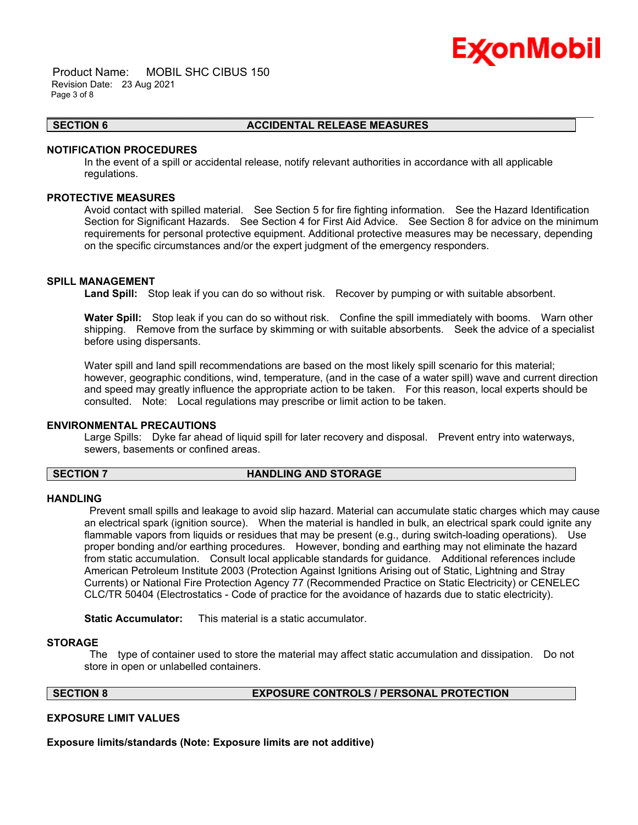

 Product Name: MOBIL SHC CIBUS 150 Revision Date: 23 Aug 2021 Page 3 of 8

#### **SECTION 6 ACCIDENTAL RELEASE MEASURES**

### **NOTIFICATION PROCEDURES**

In the event of a spill or accidental release, notify relevant authorities in accordance with all applicable regulations.

\_\_\_\_\_\_\_\_\_\_\_\_\_\_\_\_\_\_\_\_\_\_\_\_\_\_\_\_\_\_\_\_\_\_\_\_\_\_\_\_\_\_\_\_\_\_\_\_\_\_\_\_\_\_\_\_\_\_\_\_\_\_\_\_\_\_\_\_\_\_\_\_\_\_\_\_\_\_\_\_\_\_\_\_\_\_\_\_\_\_\_\_\_\_\_\_\_\_\_\_\_\_\_\_\_\_\_\_\_\_\_\_\_\_\_\_\_\_

### **PROTECTIVE MEASURES**

Avoid contact with spilled material. See Section 5 for fire fighting information. See the Hazard Identification Section for Significant Hazards. See Section 4 for First Aid Advice. See Section 8 for advice on the minimum requirements for personal protective equipment. Additional protective measures may be necessary, depending on the specific circumstances and/or the expert judgment of the emergency responders.

# **SPILL MANAGEMENT**

**Land Spill:** Stop leak if you can do so without risk. Recover by pumping or with suitable absorbent.

**Water Spill:** Stop leak if you can do so without risk. Confine the spill immediately with booms. Warn other shipping. Remove from the surface by skimming or with suitable absorbents. Seek the advice of a specialist before using dispersants.

Water spill and land spill recommendations are based on the most likely spill scenario for this material; however, geographic conditions, wind, temperature, (and in the case of a water spill) wave and current direction and speed may greatly influence the appropriate action to be taken. For this reason, local experts should be consulted. Note: Local regulations may prescribe or limit action to be taken.

# **ENVIRONMENTAL PRECAUTIONS**

Large Spills: Dyke far ahead of liquid spill for later recovery and disposal. Prevent entry into waterways, sewers, basements or confined areas.

# **SECTION 7 HANDLING AND STORAGE**

# **HANDLING**

Prevent small spills and leakage to avoid slip hazard. Material can accumulate static charges which may cause an electrical spark (ignition source). When the material is handled in bulk, an electrical spark could ignite any flammable vapors from liquids or residues that may be present (e.g., during switch-loading operations). Use proper bonding and/or earthing procedures. However, bonding and earthing may not eliminate the hazard from static accumulation. Consult local applicable standards for guidance. Additional references include American Petroleum Institute 2003 (Protection Against Ignitions Arising out of Static, Lightning and Stray Currents) or National Fire Protection Agency 77 (Recommended Practice on Static Electricity) or CENELEC CLC/TR 50404 (Electrostatics - Code of practice for the avoidance of hazards due to static electricity).

**Static Accumulator:** This material is a static accumulator.

# **STORAGE**

The type of container used to store the material may affect static accumulation and dissipation. Do not store in open or unlabelled containers.

### **SECTION 8 EXPOSURE CONTROLS / PERSONAL PROTECTION**

# **EXPOSURE LIMIT VALUES**

**Exposure limits/standards (Note: Exposure limits are not additive)**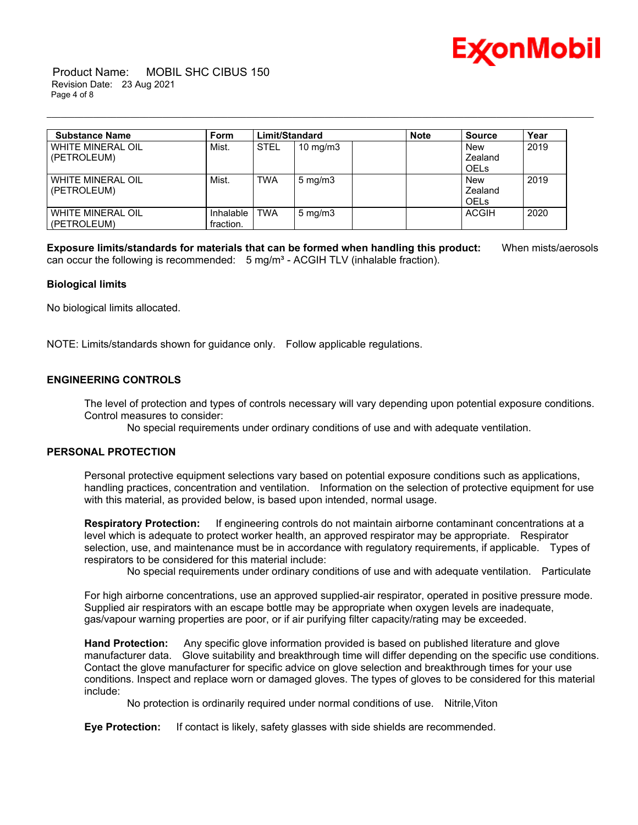

 Product Name: MOBIL SHC CIBUS 150 Revision Date: 23 Aug 2021 Page 4 of 8

| <b>Substance Name</b>                   | <b>Form</b> | Limit/Standard |                    | <b>Note</b> | <b>Source</b>  | Year |
|-----------------------------------------|-------------|----------------|--------------------|-------------|----------------|------|
| <b>WHITE MINERAL OIL</b><br>(PETROLEUM) | Mist.       | <b>STEL</b>    | 10 mg/m $3$        |             | New<br>Zealand | 2019 |
|                                         |             |                |                    |             | <b>OELS</b>    |      |
| <b>WHITE MINERAL OIL</b>                | Mist.       | <b>TWA</b>     | $5 \text{ mg/m}$ 3 |             | New            | 2019 |
| (PETROLEUM)                             |             |                |                    |             | Zealand        |      |
|                                         |             |                |                    |             | <b>OELS</b>    |      |
| <b>WHITE MINERAL OIL</b>                | Inhalable   | <b>TWA</b>     | $5 \text{ mg/m}$ 3 |             | <b>ACGIH</b>   | 2020 |
| (PETROLEUM)                             | fraction.   |                |                    |             |                |      |

\_\_\_\_\_\_\_\_\_\_\_\_\_\_\_\_\_\_\_\_\_\_\_\_\_\_\_\_\_\_\_\_\_\_\_\_\_\_\_\_\_\_\_\_\_\_\_\_\_\_\_\_\_\_\_\_\_\_\_\_\_\_\_\_\_\_\_\_\_\_\_\_\_\_\_\_\_\_\_\_\_\_\_\_\_\_\_\_\_\_\_\_\_\_\_\_\_\_\_\_\_\_\_\_\_\_\_\_\_\_\_\_\_\_\_\_\_\_

**Exposure limits/standards for materials that can be formed when handling this product:** When mists/aerosols can occur the following is recommended:  $5 \text{ mg/m}^3$  - ACGIH TLV (inhalable fraction).

# **Biological limits**

No biological limits allocated.

NOTE: Limits/standards shown for guidance only. Follow applicable regulations.

# **ENGINEERING CONTROLS**

The level of protection and types of controls necessary will vary depending upon potential exposure conditions. Control measures to consider:

No special requirements under ordinary conditions of use and with adequate ventilation.

# **PERSONAL PROTECTION**

Personal protective equipment selections vary based on potential exposure conditions such as applications, handling practices, concentration and ventilation. Information on the selection of protective equipment for use with this material, as provided below, is based upon intended, normal usage.

**Respiratory Protection:** If engineering controls do not maintain airborne contaminant concentrations at a level which is adequate to protect worker health, an approved respirator may be appropriate. Respirator selection, use, and maintenance must be in accordance with regulatory requirements, if applicable. Types of respirators to be considered for this material include:

No special requirements under ordinary conditions of use and with adequate ventilation. Particulate

For high airborne concentrations, use an approved supplied-air respirator, operated in positive pressure mode. Supplied air respirators with an escape bottle may be appropriate when oxygen levels are inadequate, gas/vapour warning properties are poor, or if air purifying filter capacity/rating may be exceeded.

**Hand Protection:** Any specific glove information provided is based on published literature and glove manufacturer data. Glove suitability and breakthrough time will differ depending on the specific use conditions. Contact the glove manufacturer for specific advice on glove selection and breakthrough times for your use conditions. Inspect and replace worn or damaged gloves. The types of gloves to be considered for this material include:

No protection is ordinarily required under normal conditions of use. Nitrile,Viton

**Eye Protection:** If contact is likely, safety glasses with side shields are recommended.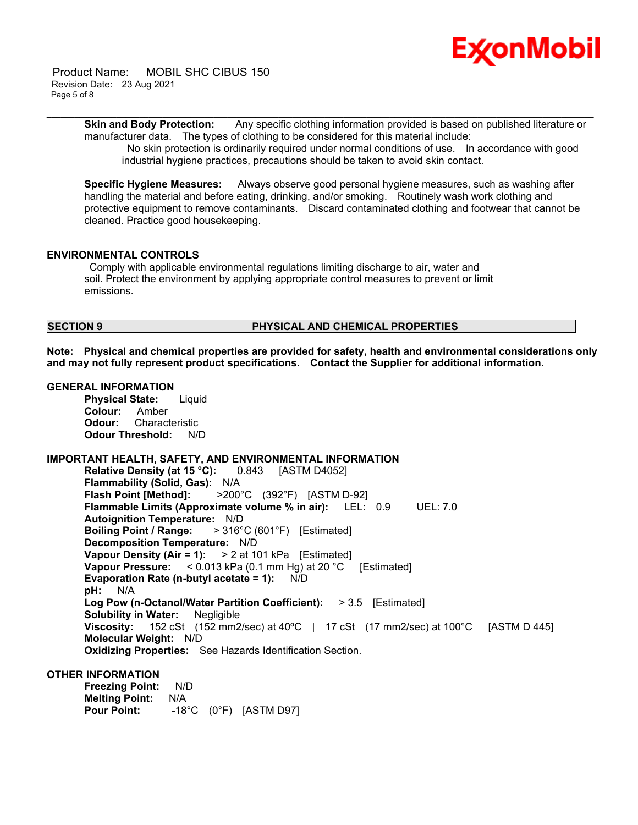

 Product Name: MOBIL SHC CIBUS 150 Revision Date: 23 Aug 2021 Page 5 of 8

> **Skin and Body Protection:** Any specific clothing information provided is based on published literature or manufacturer data. The types of clothing to be considered for this material include:

\_\_\_\_\_\_\_\_\_\_\_\_\_\_\_\_\_\_\_\_\_\_\_\_\_\_\_\_\_\_\_\_\_\_\_\_\_\_\_\_\_\_\_\_\_\_\_\_\_\_\_\_\_\_\_\_\_\_\_\_\_\_\_\_\_\_\_\_\_\_\_\_\_\_\_\_\_\_\_\_\_\_\_\_\_\_\_\_\_\_\_\_\_\_\_\_\_\_\_\_\_\_\_\_\_\_\_\_\_\_\_\_\_\_\_\_\_\_

No skin protection is ordinarily required under normal conditions of use. In accordance with good industrial hygiene practices, precautions should be taken to avoid skin contact.

**Specific Hygiene Measures:** Always observe good personal hygiene measures, such as washing after handling the material and before eating, drinking, and/or smoking. Routinely wash work clothing and protective equipment to remove contaminants. Discard contaminated clothing and footwear that cannot be cleaned. Practice good housekeeping.

# **ENVIRONMENTAL CONTROLS**

Comply with applicable environmental regulations limiting discharge to air, water and soil. Protect the environment by applying appropriate control measures to prevent or limit emissions.

# **SECTION 9 PHYSICAL AND CHEMICAL PROPERTIES**

**Note: Physical and chemical properties are provided for safety, health and environmental considerations only and may not fully represent product specifications. Contact the Supplier for additional information.**

# **GENERAL INFORMATION**

**Physical State:** Liquid **Colour:** Amber **Odour:** Characteristic **Odour Threshold:** N/D

# **IMPORTANT HEALTH, SAFETY, AND ENVIRONMENTAL INFORMATION**

**Relative Density (at 15 °C):** 0.843 [ASTM D4052] **Flammability (Solid, Gas):** N/A **Flash Point [Method]:** >200°C (392°F) [ASTM D-92] **Flammable Limits (Approximate volume % in air):** LEL: 0.9 UEL: 7.0 **Autoignition Temperature:** N/D **Boiling Point / Range:** > 316°C (601°F) [Estimated] **Decomposition Temperature:** N/D **Vapour Density (Air = 1):** > 2 at 101 kPa [Estimated] **Vapour Pressure:** < 0.013 kPa (0.1 mm Hg) at 20 °C [Estimated] **Evaporation Rate (n-butyl acetate = 1):** N/D **pH:** N/A **Log Pow (n-Octanol/Water Partition Coefficient):** > 3.5 [Estimated] **Solubility in Water:** Negligible **Viscosity:** 152 cSt (152 mm2/sec) at 40ºC | 17 cSt (17 mm2/sec) at 100°C [ASTM D 445] **Molecular Weight:** N/D **Oxidizing Properties:** See Hazards Identification Section.

# **OTHER INFORMATION**

| <b>Freezing Point:</b> | N/D |                                  |
|------------------------|-----|----------------------------------|
| <b>Melting Point:</b>  | N/A |                                  |
| <b>Pour Point:</b>     |     | $-18^{\circ}$ C (0°F) [ASTM D97] |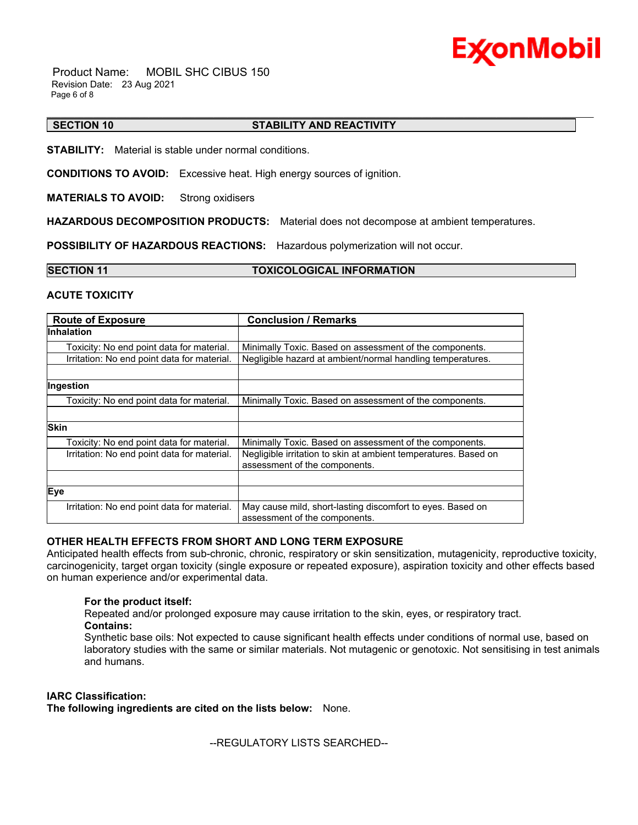

 Product Name: MOBIL SHC CIBUS 150 Revision Date: 23 Aug 2021 Page 6 of 8

#### \_\_\_\_\_\_\_\_\_\_\_\_\_\_\_\_\_\_\_\_\_\_\_\_\_\_\_\_\_\_\_\_\_\_\_\_\_\_\_\_\_\_\_\_\_\_\_\_\_\_\_\_\_\_\_\_\_\_\_\_\_\_\_\_\_\_\_\_\_\_\_\_\_\_\_\_\_\_\_\_\_\_\_\_\_\_\_\_\_\_\_\_\_\_\_\_\_\_\_\_\_\_\_\_\_\_\_\_\_\_\_\_\_\_\_\_\_\_ **SECTION 10 STABILITY AND REACTIVITY**

**STABILITY:** Material is stable under normal conditions.

**CONDITIONS TO AVOID:** Excessive heat. High energy sources of ignition.

**MATERIALS TO AVOID:** Strong oxidisers

**HAZARDOUS DECOMPOSITION PRODUCTS:** Material does not decompose at ambient temperatures.

**POSSIBILITY OF HAZARDOUS REACTIONS:** Hazardous polymerization will not occur.

| <b>SECTION 11</b> | <b>TOXICOLOGICAL INFORMATION</b> |
|-------------------|----------------------------------|
|                   |                                  |

# **ACUTE TOXICITY**

| <b>Route of Exposure</b>                    | <b>Conclusion / Remarks</b>                                                                      |
|---------------------------------------------|--------------------------------------------------------------------------------------------------|
| <b>Inhalation</b>                           |                                                                                                  |
| Toxicity: No end point data for material.   | Minimally Toxic. Based on assessment of the components.                                          |
| Irritation: No end point data for material. | Negligible hazard at ambient/normal handling temperatures.                                       |
|                                             |                                                                                                  |
| Ingestion                                   |                                                                                                  |
| Toxicity: No end point data for material.   | Minimally Toxic. Based on assessment of the components.                                          |
|                                             |                                                                                                  |
| <b>Skin</b>                                 |                                                                                                  |
| Toxicity: No end point data for material.   | Minimally Toxic. Based on assessment of the components.                                          |
| Irritation: No end point data for material. | Negligible irritation to skin at ambient temperatures. Based on<br>assessment of the components. |
|                                             |                                                                                                  |
| Eye                                         |                                                                                                  |
| Irritation: No end point data for material. | May cause mild, short-lasting discomfort to eyes. Based on<br>assessment of the components.      |

# **OTHER HEALTH EFFECTS FROM SHORT AND LONG TERM EXPOSURE**

Anticipated health effects from sub-chronic, chronic, respiratory or skin sensitization, mutagenicity, reproductive toxicity, carcinogenicity, target organ toxicity (single exposure or repeated exposure), aspiration toxicity and other effects based on human experience and/or experimental data.

# **For the product itself:**

Repeated and/or prolonged exposure may cause irritation to the skin, eyes, or respiratory tract. **Contains:**

Synthetic base oils: Not expected to cause significant health effects under conditions of normal use, based on laboratory studies with the same or similar materials. Not mutagenic or genotoxic. Not sensitising in test animals and humans.

# **IARC Classification:**

**The following ingredients are cited on the lists below:** None.

--REGULATORY LISTS SEARCHED--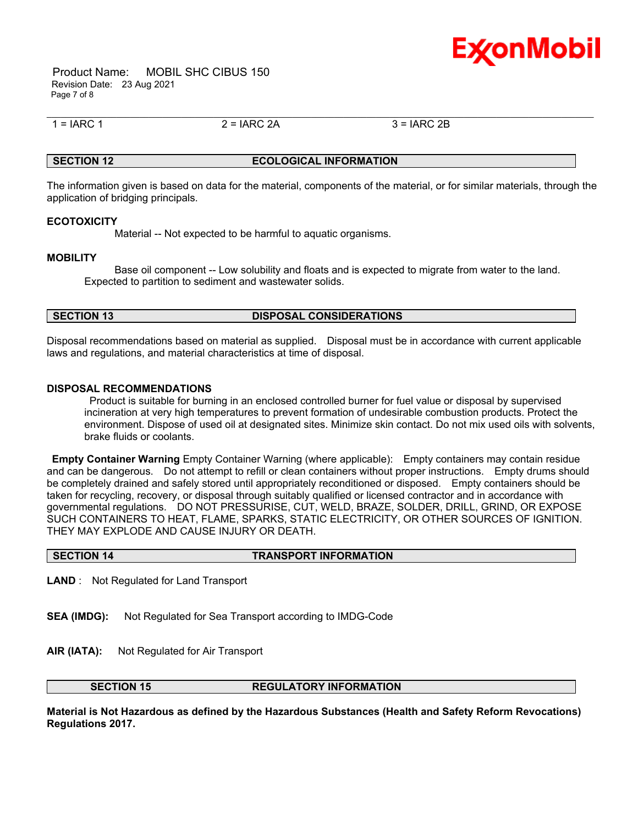

 Product Name: MOBIL SHC CIBUS 150 Revision Date: 23 Aug 2021 Page 7 of 8

\_\_\_\_\_\_\_\_\_\_\_\_\_\_\_\_\_\_\_\_\_\_\_\_\_\_\_\_\_\_\_\_\_\_\_\_\_\_\_\_\_\_\_\_\_\_\_\_\_\_\_\_\_\_\_\_\_\_\_\_\_\_\_\_\_\_\_\_\_\_\_\_\_\_\_\_\_\_\_\_\_\_\_\_\_\_\_\_\_\_\_\_\_\_\_\_\_\_\_\_\_\_\_\_\_\_\_\_\_\_\_\_\_\_\_\_\_\_  $1 = IARC 1$  2 =  $IARC 2A$  3 =  $IARC 2B$ 

# **SECTION 12 ECOLOGICAL INFORMATION**

The information given is based on data for the material, components of the material, or for similar materials, through the application of bridging principals.

# **ECOTOXICITY**

Material -- Not expected to be harmful to aquatic organisms.

# **MOBILITY**

 Base oil component -- Low solubility and floats and is expected to migrate from water to the land. Expected to partition to sediment and wastewater solids.

# **SECTION 13 DISPOSAL CONSIDERATIONS**

Disposal recommendations based on material as supplied. Disposal must be in accordance with current applicable laws and regulations, and material characteristics at time of disposal.

# **DISPOSAL RECOMMENDATIONS**

Product is suitable for burning in an enclosed controlled burner for fuel value or disposal by supervised incineration at very high temperatures to prevent formation of undesirable combustion products. Protect the environment. Dispose of used oil at designated sites. Minimize skin contact. Do not mix used oils with solvents, brake fluids or coolants.

**Empty Container Warning** Empty Container Warning (where applicable): Empty containers may contain residue and can be dangerous. Do not attempt to refill or clean containers without proper instructions. Empty drums should be completely drained and safely stored until appropriately reconditioned or disposed. Empty containers should be taken for recycling, recovery, or disposal through suitably qualified or licensed contractor and in accordance with governmental regulations. DO NOT PRESSURISE, CUT, WELD, BRAZE, SOLDER, DRILL, GRIND, OR EXPOSE SUCH CONTAINERS TO HEAT, FLAME, SPARKS, STATIC ELECTRICITY, OR OTHER SOURCES OF IGNITION. THEY MAY EXPLODE AND CAUSE INJURY OR DEATH.

| <b>SECTION 14</b> | <b>TRANSPORT INFORMATION</b> |
|-------------------|------------------------------|
|                   |                              |

**LAND** : Not Regulated for Land Transport

- **SEA (IMDG):** Not Regulated for Sea Transport according to IMDG-Code
- **AIR (IATA):** Not Regulated for Air Transport

# **SECTION 15 REGULATORY INFORMATION**

**Material is Not Hazardous as defined by the Hazardous Substances (Health and Safety Reform Revocations) Regulations 2017.**